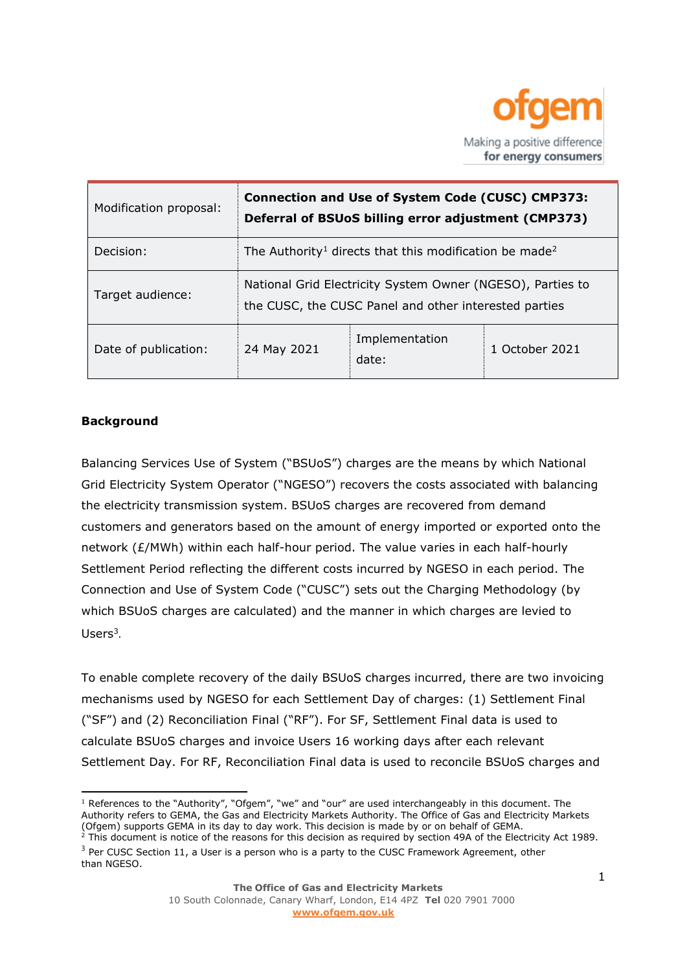

| Modification proposal: | <b>Connection and Use of System Code (CUSC) CMP373:</b><br>Deferral of BSUoS billing error adjustment (CMP373)      |                         |                |
|------------------------|---------------------------------------------------------------------------------------------------------------------|-------------------------|----------------|
| Decision:              | The Authority <sup>1</sup> directs that this modification be made <sup>2</sup>                                      |                         |                |
| Target audience:       | National Grid Electricity System Owner (NGESO), Parties to<br>the CUSC, the CUSC Panel and other interested parties |                         |                |
| Date of publication:   | 24 May 2021                                                                                                         | Implementation<br>date: | 1 October 2021 |

# **Background**

Balancing Services Use of System ("BSUoS") charges are the means by which National Grid Electricity System Operator ("NGESO") recovers the costs associated with balancing the electricity transmission system. BSUoS charges are recovered from demand customers and generators based on the amount of energy imported or exported onto the network (£/MWh) within each half-hour period. The value varies in each half-hourly Settlement Period reflecting the different costs incurred by NGESO in each period. The Connection and Use of System Code ("CUSC") sets out the Charging Methodology (by which BSUoS charges are calculated) and the manner in which charges are levied to Users $3$ .

To enable complete recovery of the daily BSUoS charges incurred, there are two invoicing mechanisms used by NGESO for each Settlement Day of charges: (1) Settlement Final ("SF") and (2) Reconciliation Final ("RF"). For SF, Settlement Final data is used to calculate BSUoS charges and invoice Users 16 working days after each relevant Settlement Day. For RF, Reconciliation Final data is used to reconcile BSUoS charges and

<sup>&</sup>lt;sup>1</sup> References to the "Authority", "Ofgem", "we" and "our" are used interchangeably in this document. The Authority refers to GEMA, the Gas and Electricity Markets Authority. The Office of Gas and Electricity Markets (Ofgem) supports GEMA in its day to day work. This decision is made by or on behalf of GEMA.

 $2$  This document is notice of the reasons for this decision as required by section 49A of the Electricity Act 1989.  $3$  Per CUSC Section 11, a User is a person who is a party to the CUSC Framework Agreement, other than NGESO.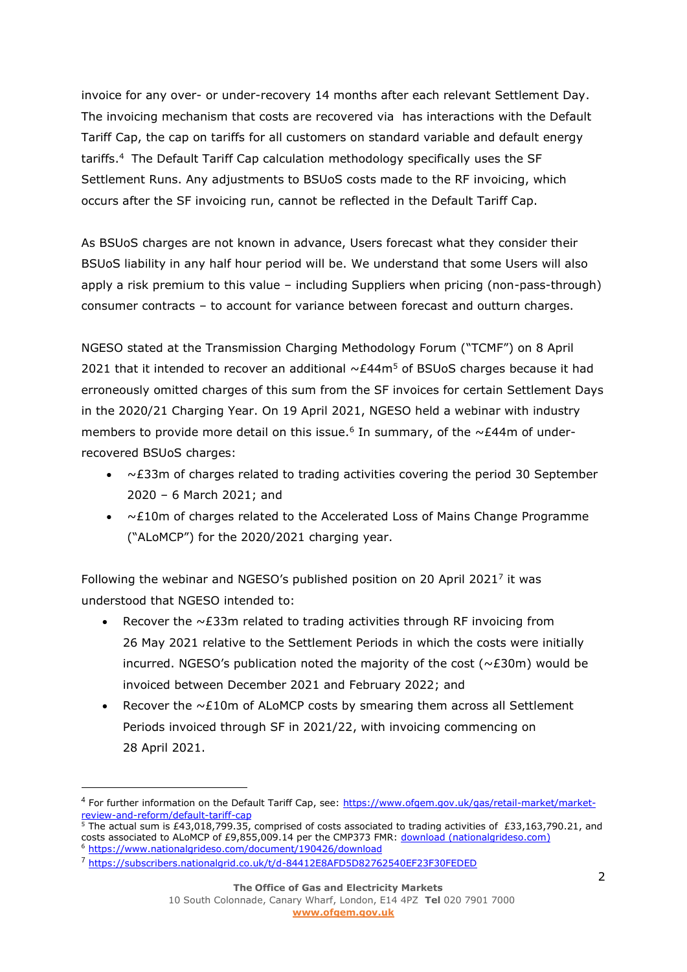invoice for any over- or under-recovery 14 months after each relevant Settlement Day. The invoicing mechanism that costs are recovered via has interactions with the Default Tariff Cap, the cap on tariffs for all customers on standard variable and default energy tariffs. <sup>4</sup> The Default Tariff Cap calculation methodology specifically uses the SF Settlement Runs. Any adjustments to BSUoS costs made to the RF invoicing, which occurs after the SF invoicing run, cannot be reflected in the Default Tariff Cap.

As BSUoS charges are not known in advance, Users forecast what they consider their BSUoS liability in any half hour period will be. We understand that some Users will also apply a risk premium to this value – including Suppliers when pricing (non-pass-through) consumer contracts – to account for variance between forecast and outturn charges.

NGESO stated at the Transmission Charging Methodology Forum ("TCMF") on 8 April 2021 that it intended to recover an additional  $\sim \mathcal{E}44\,\mathrm{m}^5$  of BSUoS charges because it had erroneously omitted charges of this sum from the SF invoices for certain Settlement Days in the 2020/21 Charging Year. On 19 April 2021, NGESO held a webinar with industry members to provide more detail on this issue.<sup>6</sup> In summary, of the  $\sim$ £44m of underrecovered BSUoS charges:

- $\bullet$   $\sim$  £33m of charges related to trading activities covering the period 30 September 2020 – 6 March 2021; and
- $\bullet$   $\sim$  £10m of charges related to the Accelerated Loss of Mains Change Programme ("ALoMCP") for the 2020/2021 charging year.

Following the webinar and NGESO's published position on 20 April 2021<sup>7</sup> it was understood that NGESO intended to:

- Recover the  $\sim$  £33m related to trading activities through RF invoicing from 26 May 2021 relative to the Settlement Periods in which the costs were initially incurred. NGESO's publication noted the majority of the cost ( $\sim$ £30m) would be invoiced between December 2021 and February 2022; and
- Recover the  $\sim$  £10m of ALoMCP costs by smearing them across all Settlement Periods invoiced through SF in 2021/22, with invoicing commencing on 28 April 2021.

<sup>&</sup>lt;sup>4</sup> For further information on the Default Tariff Cap, see: [https://www.ofgem.gov.uk/gas/retail-market/market](https://www.ofgem.gov.uk/gas/retail-market/market-review-and-reform/default-tariff-cap)[review-and-reform/default-tariff-cap](https://www.ofgem.gov.uk/gas/retail-market/market-review-and-reform/default-tariff-cap)

 $\overline{5}$  The actual sum is £43,018,799.35, comprised of costs associated to trading activities of £33,163,790.21, and costs associated to ALoMCP of £9,855,009.14 per the CMP373 FMR: [download \(nationalgrideso.com\)](https://www.nationalgrideso.com/document/191991/download) <sup>6</sup> <https://www.nationalgrideso.com/document/190426/download>

<sup>7</sup> <https://subscribers.nationalgrid.co.uk/t/d-84412E8AFD5D82762540EF23F30FEDED>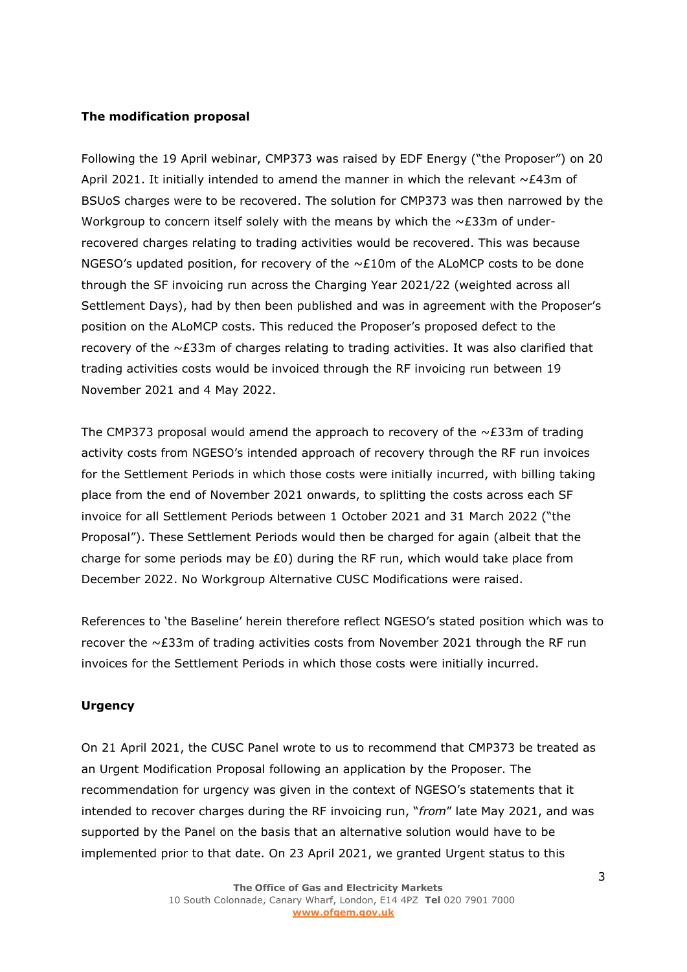### **The modification proposal**

Following the 19 April webinar, CMP373 was raised by EDF Energy ("the Proposer") on 20 April 2021. It initially intended to amend the manner in which the relevant  $\sim$ £43m of BSUoS charges were to be recovered. The solution for CMP373 was then narrowed by the Workgroup to concern itself solely with the means by which the  $\sim$ £33m of underrecovered charges relating to trading activities would be recovered. This was because NGESO's updated position, for recovery of the  $\sim$ £10m of the ALoMCP costs to be done through the SF invoicing run across the Charging Year 2021/22 (weighted across all Settlement Days), had by then been published and was in agreement with the Proposer's position on the ALoMCP costs. This reduced the Proposer's proposed defect to the recovery of the  $\sim$  £33m of charges relating to trading activities. It was also clarified that trading activities costs would be invoiced through the RF invoicing run between 19 November 2021 and 4 May 2022.

The CMP373 proposal would amend the approach to recovery of the  $\sim$ £33m of trading activity costs from NGESO's intended approach of recovery through the RF run invoices for the Settlement Periods in which those costs were initially incurred, with billing taking place from the end of November 2021 onwards, to splitting the costs across each SF invoice for all Settlement Periods between 1 October 2021 and 31 March 2022 ("the Proposal"). These Settlement Periods would then be charged for again (albeit that the charge for some periods may be  $£0$ ) during the RF run, which would take place from December 2022. No Workgroup Alternative CUSC Modifications were raised.

References to 'the Baseline' herein therefore reflect NGESO's stated position which was to recover the  $\sim$  £33m of trading activities costs from November 2021 through the RF run invoices for the Settlement Periods in which those costs were initially incurred.

#### **Urgency**

On 21 April 2021, the CUSC Panel wrote to us to recommend that CMP373 be treated as an Urgent Modification Proposal following an application by the Proposer. The recommendation for urgency was given in the context of NGESO's statements that it intended to recover charges during the RF invoicing run, "*from*" late May 2021, and was supported by the Panel on the basis that an alternative solution would have to be implemented prior to that date. On 23 April 2021, we granted Urgent status to this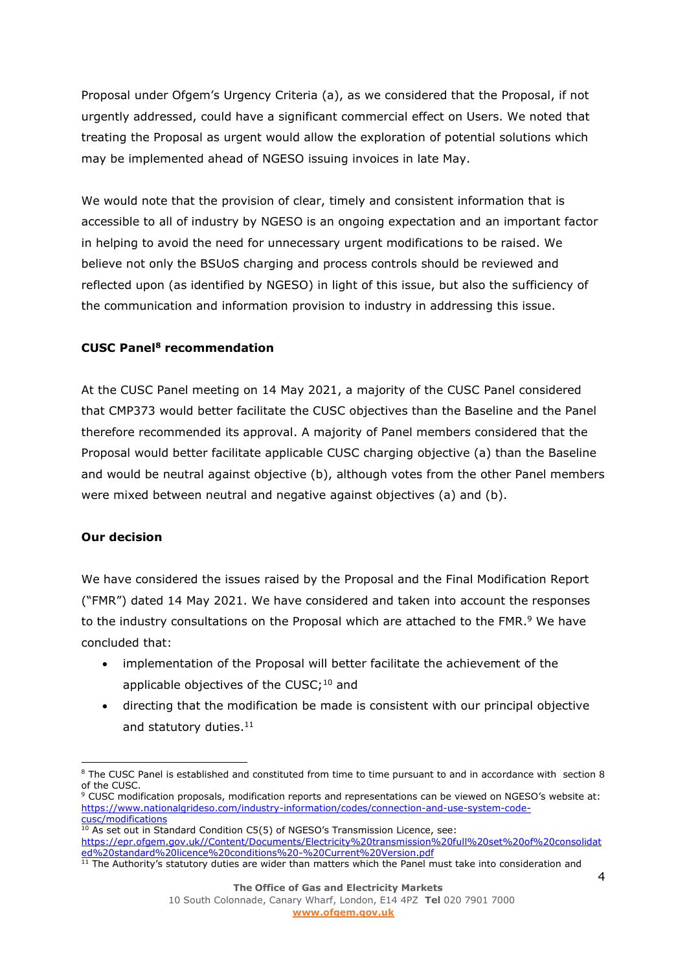Proposal under Ofgem's Urgency Criteria (a), as we considered that the Proposal, if not urgently addressed, could have a significant commercial effect on Users. We noted that treating the Proposal as urgent would allow the exploration of potential solutions which may be implemented ahead of NGESO issuing invoices in late May.

We would note that the provision of clear, timely and consistent information that is accessible to all of industry by NGESO is an ongoing expectation and an important factor in helping to avoid the need for unnecessary urgent modifications to be raised. We believe not only the BSUoS charging and process controls should be reviewed and reflected upon (as identified by NGESO) in light of this issue, but also the sufficiency of the communication and information provision to industry in addressing this issue.

# **CUSC Panel<sup>8</sup> recommendation**

At the CUSC Panel meeting on 14 May 2021, a majority of the CUSC Panel considered that CMP373 would better facilitate the CUSC objectives than the Baseline and the Panel therefore recommended its approval. A majority of Panel members considered that the Proposal would better facilitate applicable CUSC charging objective (a) than the Baseline and would be neutral against objective (b), although votes from the other Panel members were mixed between neutral and negative against objectives (a) and (b).

### **Our decision**

We have considered the issues raised by the Proposal and the Final Modification Report ("FMR") dated 14 May 2021. We have considered and taken into account the responses to the industry consultations on the Proposal which are attached to the FMR.<sup>9</sup> We have concluded that:

- implementation of the Proposal will better facilitate the achievement of the applicable objectives of the CUSC;<sup>10</sup> and
- directing that the modification be made is consistent with our principal objective and statutory duties. 11

<sup>&</sup>lt;sup>8</sup> The CUSC Panel is established and constituted from time to time pursuant to and in accordance with section 8 of the CUSC.

<sup>9</sup> CUSC modification proposals, modification reports and representations can be viewed on NGESO's website at: [https://www.nationalgrideso.com/industry-information/codes/connection-and-use-system-code](https://www.nationalgrideso.com/industry-information/codes/connection-and-use-system-code-cusc/modifications)[cusc/modifications](https://www.nationalgrideso.com/industry-information/codes/connection-and-use-system-code-cusc/modifications)

<sup>&</sup>lt;sup>10</sup> As set out in Standard Condition C5(5) of NGESO's Transmission Licence, see: [https://epr.ofgem.gov.uk//Content/Documents/Electricity%20transmission%20full%20set%20of%20consolidat](https://epr.ofgem.gov.uk/Content/Documents/Electricity%20transmission%20full%20set%20of%20consolidated%20standard%20licence%20conditions%20-%20Current%20Version.pdf) [ed%20standard%20licence%20conditions%20-%20Current%20Version.pdf](https://epr.ofgem.gov.uk/Content/Documents/Electricity%20transmission%20full%20set%20of%20consolidated%20standard%20licence%20conditions%20-%20Current%20Version.pdf)

 $11$  The Authority's statutory duties are wider than matters which the Panel must take into consideration and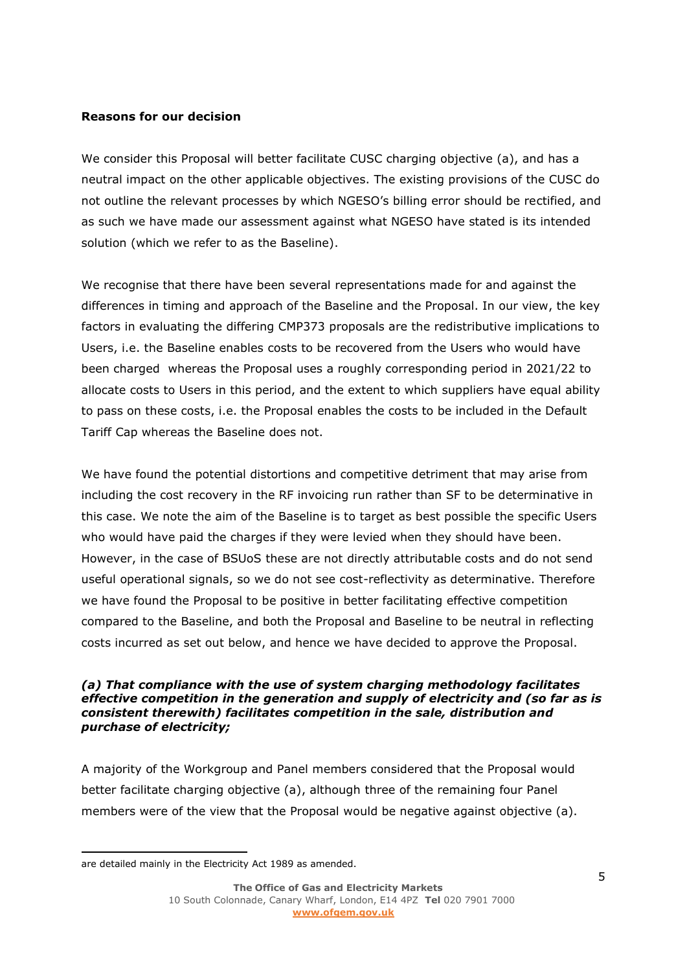### **Reasons for our decision**

We consider this Proposal will better facilitate CUSC charging objective (a), and has a neutral impact on the other applicable objectives. The existing provisions of the CUSC do not outline the relevant processes by which NGESO's billing error should be rectified, and as such we have made our assessment against what NGESO have stated is its intended solution (which we refer to as the Baseline).

We recognise that there have been several representations made for and against the differences in timing and approach of the Baseline and the Proposal. In our view, the key factors in evaluating the differing CMP373 proposals are the redistributive implications to Users, i.e. the Baseline enables costs to be recovered from the Users who would have been charged whereas the Proposal uses a roughly corresponding period in 2021/22 to allocate costs to Users in this period, and the extent to which suppliers have equal ability to pass on these costs, i.e. the Proposal enables the costs to be included in the Default Tariff Cap whereas the Baseline does not.

We have found the potential distortions and competitive detriment that may arise from including the cost recovery in the RF invoicing run rather than SF to be determinative in this case. We note the aim of the Baseline is to target as best possible the specific Users who would have paid the charges if they were levied when they should have been. However, in the case of BSUoS these are not directly attributable costs and do not send useful operational signals, so we do not see cost-reflectivity as determinative. Therefore we have found the Proposal to be positive in better facilitating effective competition compared to the Baseline, and both the Proposal and Baseline to be neutral in reflecting costs incurred as set out below, and hence we have decided to approve the Proposal.

#### *(a) That compliance with the use of system charging methodology facilitates effective competition in the generation and supply of electricity and (so far as is consistent therewith) facilitates competition in the sale, distribution and purchase of electricity;*

A majority of the Workgroup and Panel members considered that the Proposal would better facilitate charging objective (a), although three of the remaining four Panel members were of the view that the Proposal would be negative against objective (a).

are detailed mainly in the Electricity Act 1989 as amended.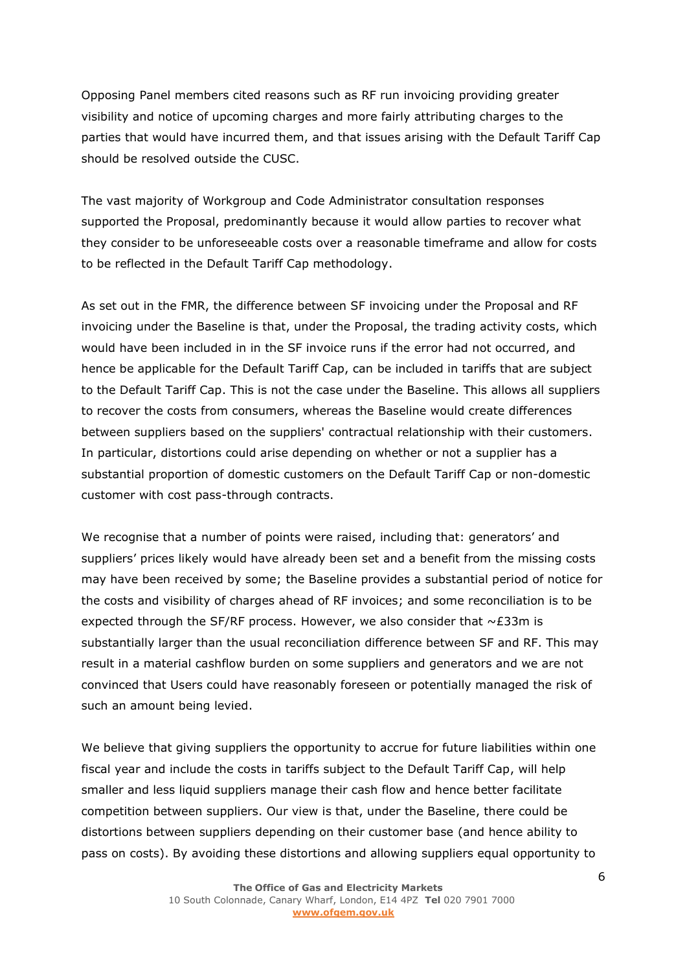Opposing Panel members cited reasons such as RF run invoicing providing greater visibility and notice of upcoming charges and more fairly attributing charges to the parties that would have incurred them, and that issues arising with the Default Tariff Cap should be resolved outside the CUSC.

The vast majority of Workgroup and Code Administrator consultation responses supported the Proposal, predominantly because it would allow parties to recover what they consider to be unforeseeable costs over a reasonable timeframe and allow for costs to be reflected in the Default Tariff Cap methodology.

As set out in the FMR, the difference between SF invoicing under the Proposal and RF invoicing under the Baseline is that, under the Proposal, the trading activity costs, which would have been included in in the SF invoice runs if the error had not occurred, and hence be applicable for the Default Tariff Cap, can be included in tariffs that are subject to the Default Tariff Cap. This is not the case under the Baseline. This allows all suppliers to recover the costs from consumers, whereas the Baseline would create differences between suppliers based on the suppliers' contractual relationship with their customers. In particular, distortions could arise depending on whether or not a supplier has a substantial proportion of domestic customers on the Default Tariff Cap or non-domestic customer with cost pass-through contracts.

We recognise that a number of points were raised, including that: generators' and suppliers' prices likely would have already been set and a benefit from the missing costs may have been received by some; the Baseline provides a substantial period of notice for the costs and visibility of charges ahead of RF invoices; and some reconciliation is to be expected through the SF/RF process. However, we also consider that  $\sim$ £33m is substantially larger than the usual reconciliation difference between SF and RF. This may result in a material cashflow burden on some suppliers and generators and we are not convinced that Users could have reasonably foreseen or potentially managed the risk of such an amount being levied.

We believe that giving suppliers the opportunity to accrue for future liabilities within one fiscal year and include the costs in tariffs subject to the Default Tariff Cap, will help smaller and less liquid suppliers manage their cash flow and hence better facilitate competition between suppliers. Our view is that, under the Baseline, there could be distortions between suppliers depending on their customer base (and hence ability to pass on costs). By avoiding these distortions and allowing suppliers equal opportunity to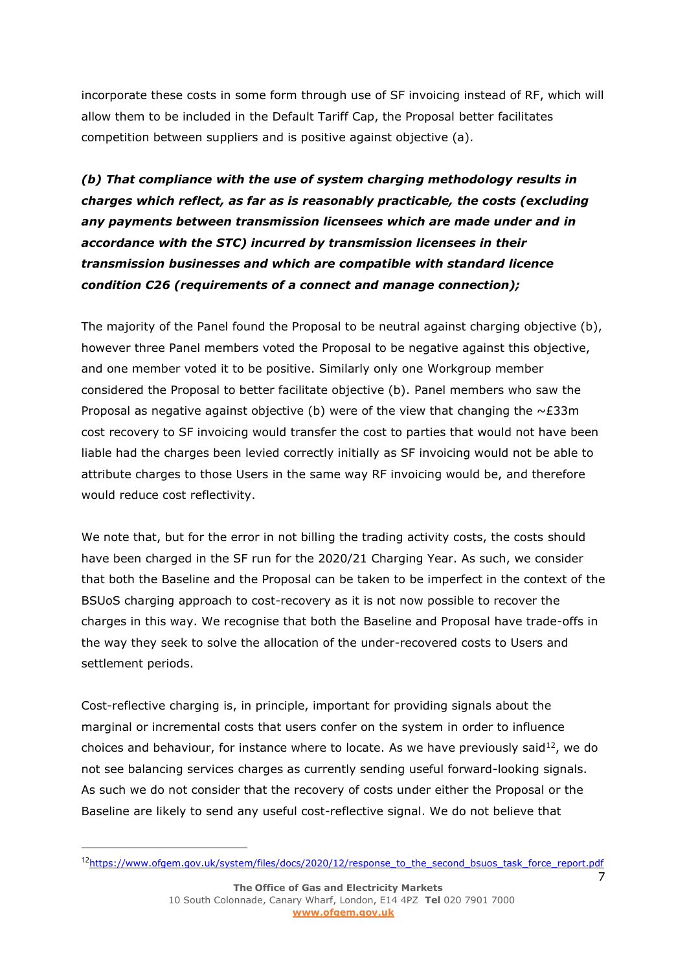incorporate these costs in some form through use of SF invoicing instead of RF, which will allow them to be included in the Default Tariff Cap, the Proposal better facilitates competition between suppliers and is positive against objective (a).

*(b) That compliance with the use of system charging methodology results in charges which reflect, as far as is reasonably practicable, the costs (excluding any payments between transmission licensees which are made under and in accordance with the STC) incurred by transmission licensees in their transmission businesses and which are compatible with standard licence condition C26 (requirements of a connect and manage connection);*

The majority of the Panel found the Proposal to be neutral against charging objective (b), however three Panel members voted the Proposal to be negative against this objective, and one member voted it to be positive. Similarly only one Workgroup member considered the Proposal to better facilitate objective (b). Panel members who saw the Proposal as negative against objective (b) were of the view that changing the  $\sim$ £33m cost recovery to SF invoicing would transfer the cost to parties that would not have been liable had the charges been levied correctly initially as SF invoicing would not be able to attribute charges to those Users in the same way RF invoicing would be, and therefore would reduce cost reflectivity.

We note that, but for the error in not billing the trading activity costs, the costs should have been charged in the SF run for the 2020/21 Charging Year. As such, we consider that both the Baseline and the Proposal can be taken to be imperfect in the context of the BSUoS charging approach to cost-recovery as it is not now possible to recover the charges in this way. We recognise that both the Baseline and Proposal have trade-offs in the way they seek to solve the allocation of the under-recovered costs to Users and settlement periods.

Cost-reflective charging is, in principle, important for providing signals about the marginal or incremental costs that users confer on the system in order to influence choices and behaviour, for instance where to locate. As we have previously said<sup>12</sup>, we do not see balancing services charges as currently sending useful forward-looking signals. As such we do not consider that the recovery of costs under either the Proposal or the Baseline are likely to send any useful cost-reflective signal. We do not believe that

<sup>&</sup>lt;sup>12</sup>[https://www.ofgem.gov.uk/system/files/docs/2020/12/response\\_to\\_the\\_second\\_bsuos\\_task\\_force\\_report.pdf](https://www.ofgem.gov.uk/system/files/docs/2020/12/response_to_the_second_bsuos_task_force_report.pdf)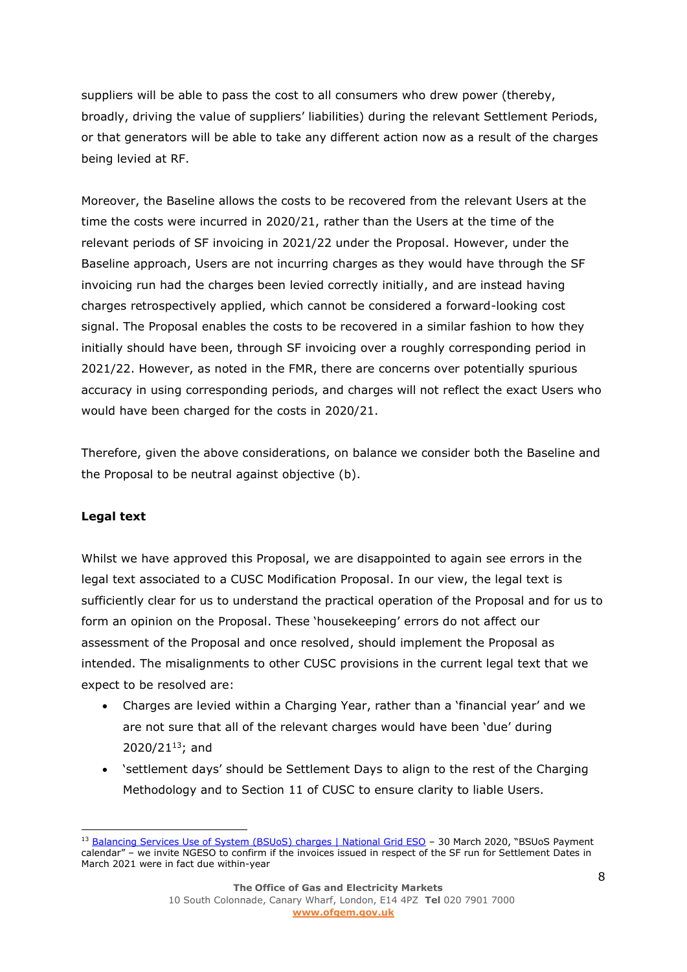suppliers will be able to pass the cost to all consumers who drew power (thereby, broadly, driving the value of suppliers' liabilities) during the relevant Settlement Periods, or that generators will be able to take any different action now as a result of the charges being levied at RF.

Moreover, the Baseline allows the costs to be recovered from the relevant Users at the time the costs were incurred in 2020/21, rather than the Users at the time of the relevant periods of SF invoicing in 2021/22 under the Proposal. However, under the Baseline approach, Users are not incurring charges as they would have through the SF invoicing run had the charges been levied correctly initially, and are instead having charges retrospectively applied, which cannot be considered a forward-looking cost signal. The Proposal enables the costs to be recovered in a similar fashion to how they initially should have been, through SF invoicing over a roughly corresponding period in 2021/22. However, as noted in the FMR, there are concerns over potentially spurious accuracy in using corresponding periods, and charges will not reflect the exact Users who would have been charged for the costs in 2020/21.

Therefore, given the above considerations, on balance we consider both the Baseline and the Proposal to be neutral against objective (b).

### **Legal text**

Whilst we have approved this Proposal, we are disappointed to again see errors in the legal text associated to a CUSC Modification Proposal. In our view, the legal text is sufficiently clear for us to understand the practical operation of the Proposal and for us to form an opinion on the Proposal. These 'housekeeping' errors do not affect our assessment of the Proposal and once resolved, should implement the Proposal as intended. The misalignments to other CUSC provisions in the current legal text that we expect to be resolved are:

- Charges are levied within a Charging Year, rather than a 'financial year' and we are not sure that all of the relevant charges would have been 'due' during  $2020/21^{13}$ ; and
- 'settlement days' should be Settlement Days to align to the rest of the Charging Methodology and to Section 11 of CUSC to ensure clarity to liable Users.

<sup>13</sup> [Balancing Services Use of System \(BSUoS\) charges | National Grid ESO](https://www.nationalgrideso.com/industry-information/charging/balancing-services-use-system-bsuos-charges) - 30 March 2020, "BSUoS Payment calendar" – we invite NGESO to confirm if the invoices issued in respect of the SF run for Settlement Dates in March 2021 were in fact due within-year